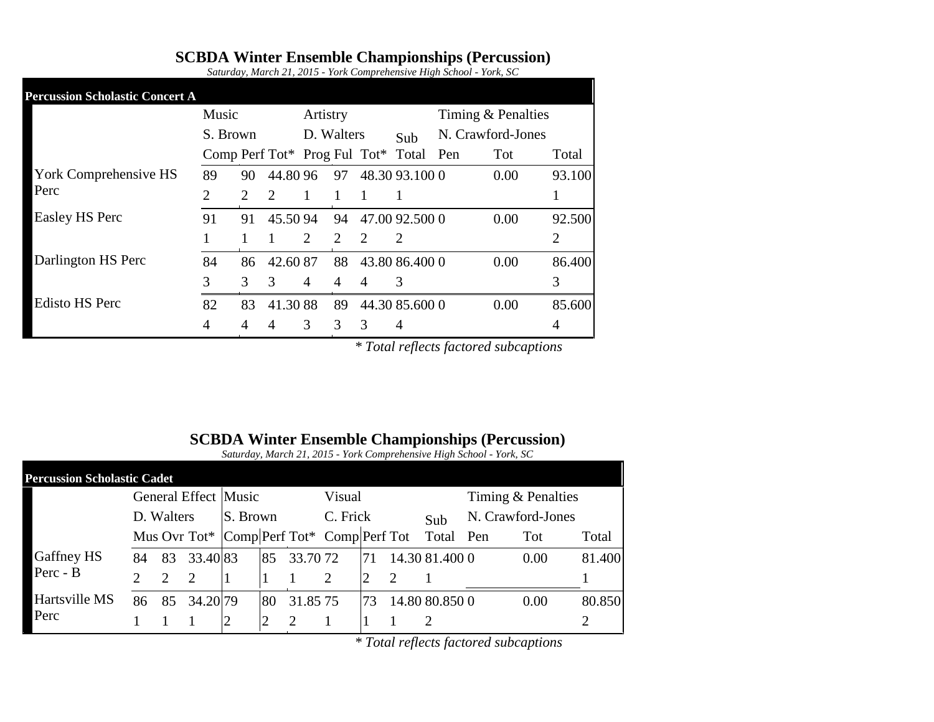## **SCBDA Winter Ensemble Championships (Percussion)**

*Saturday, March 21, 2015 - York Comprehensive High School - York, SC*

| <b>Percussion Scholastic Concert A</b> |                |    |                       |                |                             |                             |                                          |                    |      |        |
|----------------------------------------|----------------|----|-----------------------|----------------|-----------------------------|-----------------------------|------------------------------------------|--------------------|------|--------|
|                                        | Music          |    |                       | Artistry       |                             |                             |                                          | Timing & Penalties |      |        |
|                                        | S. Brown       |    | D. Walters            |                |                             | Sub                         |                                          | N. Crawford-Jones  |      |        |
|                                        |                |    |                       |                |                             |                             | Comp Perf Tot $*$ Prog Ful Tot $*$ Total | Pen                | Tot  | Total  |
| York Comprehensive HS                  | 89             | 90 | 44.80 96              |                | 97                          |                             | 48.30 93.100 0                           |                    | 0.00 | 93.100 |
| Perc                                   | $\overline{2}$ | 2  | $\mathcal{D}_{\cdot}$ |                |                             |                             | 1                                        |                    |      |        |
| <b>Easley HS Perc</b>                  | 91             | 91 | 45.5094               |                | 94                          |                             | 47.00 92.500 0                           |                    | 0.00 | 92.500 |
|                                        |                |    |                       | 2              | $\mathcal{D}_{\mathcal{L}}$ | $\mathcal{D}_{\mathcal{L}}$ | 2                                        |                    |      | 2      |
| Darlington HS Perc                     | 84             | 86 | 42.6087               |                | 88                          |                             | 43.80 86.400 0                           |                    | 0.00 | 86.400 |
|                                        | 3              | 3  | 3                     | $\overline{4}$ | 4                           | 4                           | 3                                        |                    |      | 3      |
| <b>Edisto HS Perc</b>                  | 82             | 83 | 41.3088               |                | 89                          |                             | 44.30 85.600 0                           |                    | 0.00 | 85.600 |
|                                        | 4              | 4  |                       | 3              | 3                           | 3                           | 4                                        |                    |      | 4      |

*\* Total reflects factored subcaptions*

#### **SCBDA Winter Ensemble Championships (Percussion)**

*Saturday, March 21, 2015 - York Comprehensive High School - York, SC*

| <b>Percussion Scholastic Cadet</b> |            |    |         |                                           |    |             |          |    |  |                |                      |      |        |
|------------------------------------|------------|----|---------|-------------------------------------------|----|-------------|----------|----|--|----------------|----------------------|------|--------|
|                                    |            |    |         | General Effect Music                      |    |             | Visual   |    |  |                | Timing $&$ Penalties |      |        |
|                                    | D. Walters |    |         | S. Brown                                  |    |             | C. Frick |    |  | Sub            | N. Crawford-Jones    |      |        |
|                                    |            |    |         | Mus Ovr Tot* Comp Perf Tot* Comp Perf Tot |    |             |          |    |  | Total          | Pen                  | Tot  | Total  |
| Gaffney HS                         | 84         | 83 | 33.4083 |                                           |    | 85 33.70.72 |          | 71 |  | 14.30 81.400 0 |                      | 0.00 | 81.400 |
| Perc - B                           |            |    |         |                                           |    |             |          |    |  |                |                      |      |        |
| Hartsville MS<br>Perc              | 86         | 85 | 34.2079 |                                           | 80 | 31.85 75    |          | 73 |  | 14.80 80.850 0 |                      | 0.00 | 80.850 |
|                                    |            |    |         |                                           |    |             |          |    |  |                |                      |      |        |

*\* Total reflects factored subcaptions*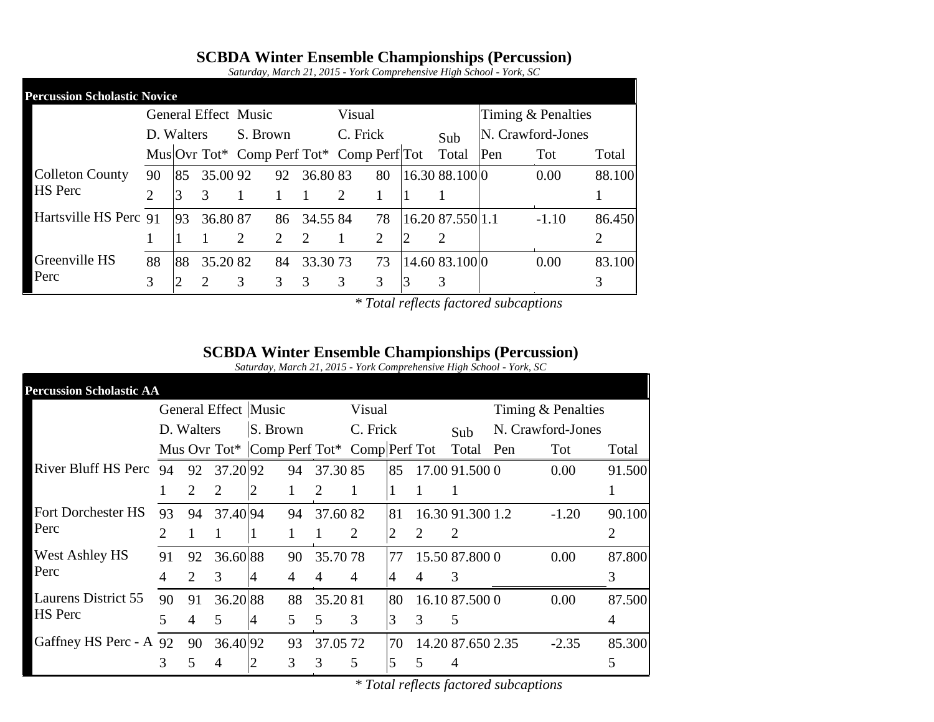## **SCBDA Winter Ensemble Championships (Percussion)**

|                                     |    |               |         |                                           |    |             |          |    |                  | $S$ saturately, march 21, 2015 - Tork Comprehensive High School - Tork, SC |                    |        |
|-------------------------------------|----|---------------|---------|-------------------------------------------|----|-------------|----------|----|------------------|----------------------------------------------------------------------------|--------------------|--------|
| <b>Percussion Scholastic Novice</b> |    |               |         |                                           |    |             |          |    |                  |                                                                            |                    |        |
|                                     |    |               |         | General Effect Music                      |    |             | Visual   |    |                  |                                                                            | Timing & Penalties |        |
|                                     |    | D. Walters    |         | S. Brown                                  |    |             | C. Frick |    | Sub              |                                                                            | N. Crawford-Jones  |        |
|                                     |    |               |         | Mus Ovr Tot* Comp Perf Tot* Comp Perf Tot |    |             |          |    | Total Pen        |                                                                            | Tot                | Total  |
| <b>Colleton County</b>              | 90 | 85            | 35.0092 |                                           | 92 | 36.8083     |          | 80 | 16.30 88.100 0   |                                                                            | 0.00               | 88.100 |
| <b>HS</b> Perc                      |    | $\mathcal{R}$ |         |                                           |    |             | 2        |    |                  |                                                                            |                    |        |
| Hartsville HS Perc 91 93            |    |               | 36.8087 |                                           |    | 86 34.55 84 |          | 78 | 16.20 87.550 1.1 |                                                                            | $-1.10$            | 86.450 |
|                                     |    |               |         |                                           |    |             |          |    | 2                |                                                                            |                    |        |

82 84 33.30 73 73

3

Greenville HS 88

88 88 35.20 82 84

3 2

Perc

*Saturday, March 21, 2015 - York Comprehensive High School - York, SC*

*\* Total reflects factored subcaptions*

0.00 83.100

3

73 14.60 83.100

#### **SCBDA Winter Ensemble Championships (Percussion)**

*Saturday, March 21, 2015 - York Comprehensive High School - York, SC*

| <b>Percussion Scholastic AA</b> |                       |    |                             |                                           |    |          |          |    |   |                   |                    |         |        |
|---------------------------------|-----------------------|----|-----------------------------|-------------------------------------------|----|----------|----------|----|---|-------------------|--------------------|---------|--------|
|                                 |                       |    |                             | General Effect Music                      |    |          | Visual   |    |   |                   | Timing & Penalties |         |        |
|                                 | D. Walters            |    |                             | S. Brown                                  |    |          | C. Frick |    |   | Sub               | N. Crawford-Jones  |         |        |
|                                 |                       |    |                             | Mus Ovr Tot* Comp Perf Tot* Comp Perf Tot |    |          |          |    |   | Total             | Pen                | Tot     | Total  |
| River Bluff HS Perc             | 94                    | 92 | 37.2092                     |                                           | 94 | 37.3085  |          | 85 |   | 17.00 91.500 0    |                    | 0.00    | 91.500 |
|                                 |                       | 2  | $\mathcal{D}_{\mathcal{L}}$ | 2                                         |    | 2        |          |    |   |                   |                    |         |        |
| <b>Fort Dorchester HS</b>       | 93                    | 94 | 37.40 94                    |                                           | 94 | 37.6082  |          | 81 |   | 16.30 91.300 1.2  |                    | $-1.20$ | 90.100 |
| Perc                            | $\mathcal{D}_{\cdot}$ |    |                             |                                           |    | 1        | 2        | 2  | 2 | 2                 |                    |         | 2      |
| <b>West Ashley HS</b>           | 91                    | 92 | 36.6088                     |                                           | 90 | 35.7078  |          | 77 |   | 15.50 87.800 0    |                    | 0.00    | 87.800 |
| Perc                            | 4                     | 2  | 3                           | 4                                         | 4  | 4        | 4        | 4  | 4 | 3                 |                    |         | 3      |
| <b>Laurens District 55</b>      | 90                    | 91 | 36.2088                     |                                           | 88 | 35.2081  |          | 80 |   | 16.10 87.500 0    |                    | 0.00    | 87.500 |
| <b>HS</b> Perc                  | 5                     | 4  | 5                           | 4                                         | 5  | 5        | 3        | 3  | 3 | 5                 |                    |         | 4      |
| Gaffney HS Perc - A 92          |                       | 90 | 36.40 92                    |                                           | 93 | 37.05 72 |          | 70 |   | 14.20 87.650 2.35 |                    | $-2.35$ | 85.300 |
|                                 | 3                     | 5  | 4                           | 2                                         | 3  | 3        | 5        | 5  | 5 | 4                 |                    |         | 5      |

*\* Total reflects factored subcaptions*